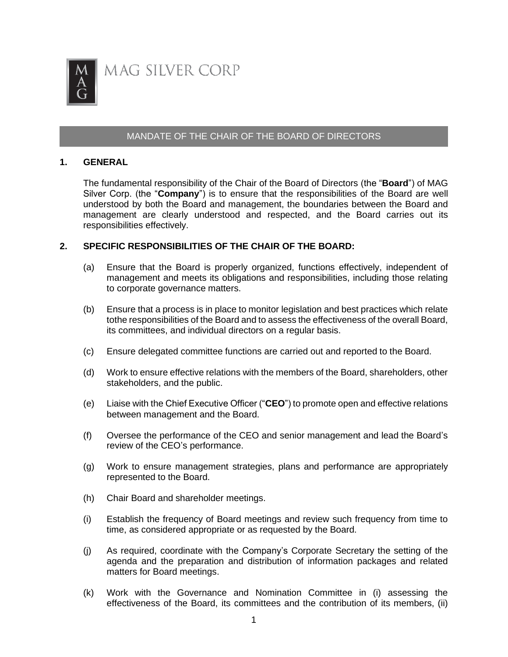

## MANDATE OF THE CHAIR OF THE BOARD OF DIRECTORS

## **1. GENERAL**

The fundamental responsibility of the Chair of the Board of Directors (the "**Board**") of MAG Silver Corp. (the "**Company**") is to ensure that the responsibilities of the Board are well understood by both the Board and management, the boundaries between the Board and management are clearly understood and respected, and the Board carries out its responsibilities effectively.

## **2. SPECIFIC RESPONSIBILITIES OF THE CHAIR OF THE BOARD:**

- (a) Ensure that the Board is properly organized, functions effectively, independent of management and meets its obligations and responsibilities, including those relating to corporate governance matters.
- (b) Ensure that a process is in place to monitor legislation and best practices which relate tothe responsibilities of the Board and to assess the effectiveness of the overall Board, its committees, and individual directors on a regular basis.
- (c) Ensure delegated committee functions are carried out and reported to the Board.
- (d) Work to ensure effective relations with the members of the Board, shareholders, other stakeholders, and the public.
- (e) Liaise with the Chief Executive Officer ("**CEO**") to promote open and effective relations between management and the Board.
- (f) Oversee the performance of the CEO and senior management and lead the Board's review of the CEO's performance.
- (g) Work to ensure management strategies, plans and performance are appropriately represented to the Board.
- (h) Chair Board and shareholder meetings.
- (i) Establish the frequency of Board meetings and review such frequency from time to time, as considered appropriate or as requested by the Board.
- (j) As required, coordinate with the Company's Corporate Secretary the setting of the agenda and the preparation and distribution of information packages and related matters for Board meetings.
- (k) Work with the Governance and Nomination Committee in (i) assessing the effectiveness of the Board, its committees and the contribution of its members, (ii)